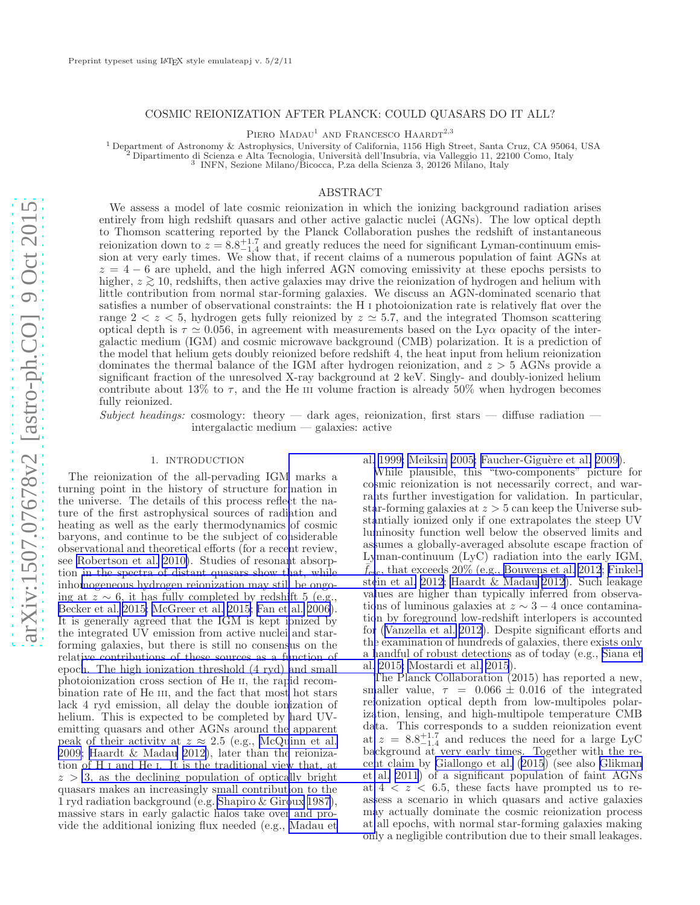# COSMIC REIONIZATION AFTER PLANCK: COULD QUASARS DO IT ALL?

PIERO  $\mathrm{MADAU}^{1}$ AND FRANCESCO  $\mathrm{HAARDT}^{2,3}$ 

<sup>1</sup> Department of Astronomy & Astrophysics, University of California, 1156 High Street, Santa Cruz, CA 95064, USA

2<br>
<sup>2</sup> Dipartimento di Scienza e Alta Tecnologia, Università dell'Insubria, via Valleggio 11, 22100 Como, Italy<br>
<sup>3</sup> INFN, Sezione Milano/Bicocca, P.za della Scienza 3, 20126 Milano, Italy

### ABSTRACT

We assess a model of late cosmic reionization in which the ionizing background radiation arises entirely from high redshift quasars and other active galactic nuclei (AGNs). The low optical depth to Thomson scattering reported by the Planck Collaboration pushes the redshift of instantaneous reionization down to  $z = 8.8_{-1.4}^{+1.7}$  and greatly reduces the need for significant Lyman-continuum emission at very early times. We show that, if recent claims of a numerous population of faint AGNs at  $z = 4 - 6$  are upheld, and the high inferred AGN comoving emissivity at these epochs persists to higher, z ∼ > 10, redshifts, then active galaxies may drive the reionization of hydrogen and helium with little contribution from normal star-forming galaxies. We discuss an AGN-dominated scenario that satisfies a number of observational constraints: the H I photoionization rate is relatively flat over the range  $2 < z < 5$ , hydrogen gets fully reionized by  $z \approx 5.7$ , and the integrated Thomson scattering optical depth is  $\tau \simeq 0.056$ , in agreement with measurements based on the Ly $\alpha$  opacity of the intergalactic medium (IGM) and cosmic microwave background (CMB) polarization. It is a prediction of the model that helium gets doubly reionized before redshift 4, the heat input from helium reionization dominates the thermal balance of the IGM after hydrogen reionization, and  $z > 5$  AGNs provide a significant fraction of the unresolved X-ray background at 2 keV. Singly- and doubly-ionized helium contribute about 13% to  $\tau$ , and the He III volume fraction is already 50% when hydrogen becomes fully reionized.

Subject headings: cosmology: theory — dark ages, reionization, first stars — diffuse radiation intergalactic medium — galaxies: active

## 1. INTRODUCTION

The reionization of the all-pervading IG[M marks a](#page-5-0) turning point in the history of structure formation in the universe. The details of this process reflect the nature of the first astrophysical sources of radiation and heating as well as the early thermodynamics of cosmic baryons, and continue to be the subject of considerable observational and theoretical efforts (for a recent review, see [Robertson et al. 2010\)](#page-5-0). Studies of resonant absorption in the spectra of distant quasars show that, while inho[mogeneous hydrogen reionization may still be ongo](#page-5-0)ing at  $z \sim 6$ , it has fully completed by redshift 5 (e.g., [Becker et al. 2015; McGreer et al. 2015](#page-5-0); [Fan et al. 2006\)](#page-5-0). It is generally agreed that the IGM is kept ionized by the integrated UV emission from active nuclei and starforming galaxies, but there is still no consensus on the relative contributions of these sources as a function of epoc[h. The high ionization threshold \(4 ryd\) and small](#page-5-0) photoionization cross section of He II, the rapid recombination rate of He III, and the fact that most hot stars lack 4 ryd emission, all delay the double ionization of helium. This is expected to be completed by hard UVemitting quasars and other AGNs around the apparent peak of their activity at  $z \approx 2.5$  (e.g., [McQuinn et al.](#page-5-0) [2009; Haardt & Madau 2012\)](#page-5-0), later than the reionization of H <sup>I</sup> and He <sup>I</sup>. It is the traditional view that, at  $z > 3$ , as the declining population of optically bright quasars makes an increasingly small contribution to the 1 ryd radiation background (e.g. [Shapiro & Giroux 1987\)](#page-5-0), massive stars in early galactic halos take over and provide the additional ionizing flux needed (e.g., [Madau et](#page-5-0)

al. 1999; Meiksin 2005; Faucher-Giguère et al. 2009).

While plausible, this "two-components" picture for cosmic reionization is not necessarily correct, and warrants further investigation for validation. In particular, star-forming galaxies at  $z > 5$  can keep the Universe substantially ionized only if one extrapolates the steep UV luminosity function well below the observed limits and assumes a globally-averaged absolute escape fraction of Lyman-continuum (LyC) radiation into the early IGM,  $f_{\rm esc}$ , that exceeds 20% (e.g., [Bouwens et al. 2012](#page-5-0); [Finkel](#page-5-0)stein et al. [2012](#page-5-0); [Haardt & Madau 2012](#page-5-0)). Such leakage values are higher than typically inferred from observations of luminous galaxies at  $z \sim 3 - 4$  once contamination by foreground low-redshift interlopers is accounted for([Vanzella et al. 2012\)](#page-5-0). Despite significant efforts and the examination of hundreds of galaxies, there exists only a handful of robust detections as of today (e.g., [Siana et](#page-5-0) al. [2015; Mostardi et al. 2015](#page-5-0)).

The Planck Collaboration (2015) has reported a new, smaller value,  $\tau = 0.066 \pm 0.016$  of the integrated reionization optical depth from low-multipoles polarization, lensing, and high-multipole temperature CMB data. This corresponds to a sudden reionization event at  $z = 8.8^{+1.7}_{-1.4}$  and reduces the need for a large LyC background at very early times. Together with the recent claim by [Giallongo et al. \(2015](#page-5-0)) (see also [Glikman](#page-5-0) et al. [2011](#page-5-0)) of a significant population of faint AGNs at  $4 < z < 6.5$ , these facts have prompted us to reassess a scenario in which quasars and active galaxies may actually dominate the cosmic reionization process at all epochs, with normal star-forming galaxies making only a negligible contribution due to their small leakages.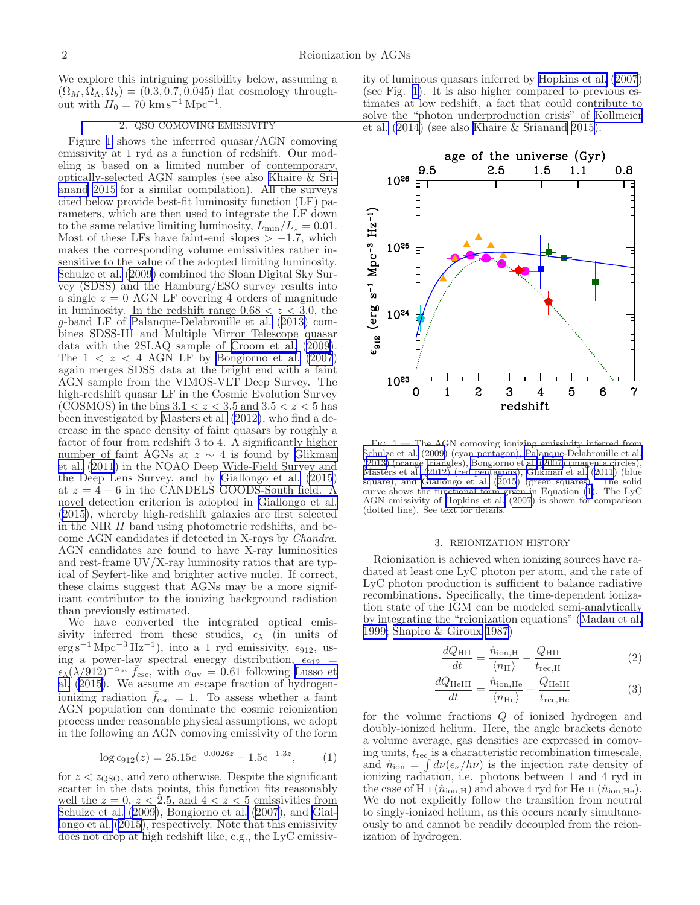<span id="page-1-0"></span>We explore this intriguing possibility below, assuming a  $(\Omega_M, \Omega_\Lambda, \Omega_b) = (0.3, 0.7, 0.045)$  flat cosmology throughout with  $H_0 = 70 \text{ km s}^{-1} \text{ Mpc}^{-1}$ .

# 2. [QSO COMOVING EMISSIVITY](#page-5-0)

Figure 1 shows the inferrred quasar/AGN comoving emissivity at 1 ryd as a function of redshift. Our modeling is based on a limited number of contemporary, optically-selected AGN samples (see also [Khaire & Sri](#page-5-0)[anand 2015](#page-5-0) for a similar compilation). All the surveys cited below provide best-fit luminosity function (LF) parameters, which are then used to integrate the LF down to the same relative limiting luminosity,  $L_{\min}/L_{\star} = 0.01$ . Most of these LFs have faint-end slopes  $> -1.7$ , which makes the corresponding volume emissivities rather insensitive to the value of the adopted limiting luminosity. [Schulze et al. \(2009](#page-5-0)) combined the Sloan Digital Sky Survey (SDSS) and the Hamburg/ESO survey results into a single  $z = 0$  AGN LF covering 4 orders of magnitude in luminosity. In the redshift range  $0.68 < z < 3.0$ , the g-band LF of [Palanque-Delabrouille et al.](#page-5-0) ([2013](#page-5-0)) combines SDSS-III and Multiple Mirror Telescope quasar data with the 2SLAQ sample of [Croom et al. \(2009\)](#page-5-0). The  $1 < z < 4$  AGN LF by [Bongiorno et al. \(2007](#page-5-0)) again merges SDSS data at the bright end with a faint AGN sample from the VIMOS-VLT Deep Survey. The high-redshift quasar LF in the Cosmic Evolution Survey (COSMOS) in the bins  $3.1 < z < 3.5$  and  $3.5 < z < 5$  has been investigated by [Masters et al. \(2012\)](#page-5-0), who find a decrease in the space density of faint quasars by roughly a factor of four from redshift 3 to 4. A significantly higher number of faint AGNs at  $z \sim 4$  is found by [Glikman](#page-5-0) [et al. \(2011](#page-5-0)) in the NOAO Deep Wide-Field Survey and the Deep Lens Survey, and by [Giallongo et al. \(2015](#page-5-0)) at  $z = 4 - 6$  in the CANDELS GOODS-South field. A novel detection criterion is adopted in [Giallongo et al.](#page-5-0) ([2015\)](#page-5-0), whereby high-redshift galaxies are first selected in the NIR  $H$  band using photometric redshifts, and become AGN candidates if detected in X-rays by Chandra. AGN candidates are found to have X-ray luminosities and rest-frame UV/X-ray luminosity ratios that are typical of Seyfert-like and brighter active nuclei. If correct, these claims suggest that AGNs may be a more significant contributor to the ionizing background radiation than previously estimated.

We have converted the integrated optical emissivity inferred from these studies,  $\epsilon_{\lambda}$  (in units of  $\text{erg s}^{-1} \text{ Mpc}^{-3} \text{ Hz}^{-1}$ ), into a 1 ryd emissivity,  $\epsilon_{912}$ , using a power-law spectral energy distribution,  $\epsilon_{912}$  =  $\epsilon_{\lambda}(\lambda/912)^{-\alpha_{\text{uv}}} \bar{f}_{\text{esc}}$ , with  $\alpha_{\text{uv}} = 0.61$  following [Lusso et](#page-5-0) [al. \(2015](#page-5-0)). We assume an escape fraction of hydrogenionizing radiation  $\bar{f}_{\text{esc}} = 1$ . To assess whether a faint AGN population can dominate the cosmic reionization process under reasonable physical assumptions, we adopt in the following an AGN comoving emissivity of the form

$$
\log \epsilon_{912}(z) = 25.15e^{-0.0026z} - 1.5e^{-1.3z}, \tag{1}
$$

for  $z < z_{\rm QSO}$ , and zero otherwise. Despite the significant scatter in the data points, this function fits reasonably well the  $z = 0$ ,  $z < 2.5$ , and  $4 < z < 5$  emissivities from [Schulze et al.](#page-5-0) ([2009](#page-5-0)), [Bongiorno et al.](#page-5-0) ([2007\)](#page-5-0), and [Gial](#page-5-0)[longo et al.](#page-5-0) ([2015\)](#page-5-0), respectively. Note that this emissivity does not drop at high redshift like, e.g., the LyC emissivity of luminous quasars inferred by [Hopkins et al. \(2007](#page-5-0)) (see Fig. 1). It is also higher compared to previous estimates at low redshift, a fact that could contribute to solve the "photon underproduction crisis" of [Kollmeier](#page-5-0) et al.([2014](#page-5-0)) (see also [Khaire & Srianand 2015\)](#page-5-0).



Fig. 1.— The AGN comoving ionizing emissivity inferred from [Schulze et al.](#page-5-0) ([2009\)](#page-5-0) (cyan pentagon), [Palanque-Delabrouille et al.](#page-5-0) ([2013\)](#page-5-0) (orange triangles), [Bongiorno et al. \(2007\)](#page-5-0) (magenta circles), [Masters et al. \(2012\)](#page-5-0) (red pentagons), [Glikman et al. \(2011\)](#page-5-0) (blue square), and [Giallongo et al. \(2015](#page-5-0)) (green squares). The solid curve shows the functional form given in Equation (1). The LyC AGN emissivity of [Hopkins et al. \(2007](#page-5-0)) is shown for comparison (dotted line). See text for details.

#### 3. REIONIZATION HISTORY

Reionization is achieved when ionizing sources have radiated at least one LyC photon per atom, and the rate of LyC photon production is sufficient to balance radiative recombinations. Specifically, the time-dependent ionization state of the IGM can be modeled semi-analytically by integrating the "reionization equations"([Madau et al.](#page-5-0) [1999; Shapiro & Giroux 1987\)](#page-5-0)

$$
\frac{dQ_{\rm HII}}{dt} = \frac{\dot{n}_{\rm ion,H}}{\langle n_{\rm H} \rangle} - \frac{Q_{\rm HII}}{t_{\rm rec,H}} \tag{2}
$$

$$
\frac{dQ_{\text{HeIII}}}{dt} = \frac{\dot{n}_{\text{ion,He}}}{\langle n_{\text{He}} \rangle} - \frac{Q_{\text{HeIII}}}{t_{\text{rec,He}}}
$$
(3)

for the volume fractions Q of ionized hydrogen and doubly-ionized helium. Here, the angle brackets denote a volume average, gas densities are expressed in comoving units,  $t_{\text{rec}}$  is a characteristic recombination timescale, and  $\dot{n}_{\text{ion}} = \int d\nu (\epsilon_{\nu}/h\nu)$  is the injection rate density of ionizing radiation, i.e. photons between 1 and 4 ryd in the case of H I  $(\dot{n}_{\text{ion,H}})$  and above 4 ryd for He II  $(\dot{n}_{\text{ion,He}})$ . We do not explicitly follow the transition from neutral to singly-ionized helium, as this occurs nearly simultaneously to and cannot be readily decoupled from the reionization of hydrogen.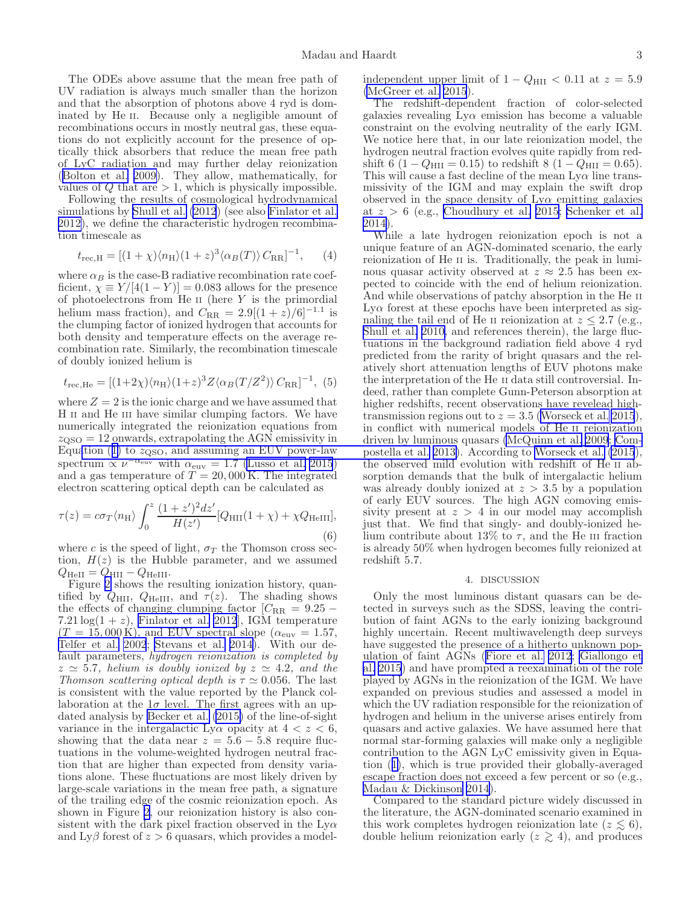The ODEs above assume that the mean free path of UV radiation is always much smaller than the horizon and that the absorption of photons above 4 ryd is dominated by He II. Because only a negligible amount of recombinations occurs in mostly neutral gas, these equations do not explicitly account for the presence of optically thick absorbers that reduce the mean free path of LyC radiation and may further delay reionization ([Bolton et al. 2009\)](#page-5-0). They allow, mathematically, for values of  $Q$  that are  $> 1$ , which is physically impossible.

Following the results of cosmological hydrodynamical simulations by [Shull et al. \(2012](#page-5-0)) (see also [Finlator et al.](#page-5-0) [2012\)](#page-5-0), we define the characteristic hydrogen recombination timescale as

$$
t_{\rm rec, H} = [(1 + \chi)\langle n_{\rm H} \rangle (1 + z)^3 \langle \alpha_B(T) \rangle C_{\rm RR}]^{-1}, \qquad (4)
$$

where  $\alpha_B$  is the case-B radiative recombination rate coefficient,  $\chi \equiv Y/[4(1 - Y)] = 0.083$  allows for the presence of photoelectrons from  $\text{He}$  II (here Y is the primordial helium mass fraction), and  $C_{\rm RR} = 2.9[(1 + z)/6]^{-1.1}$  is the clumping factor of ionized hydrogen that accounts for both density and temperature effects on the average recombination rate. Similarly, the recombination timescale of doubly ionized helium is

$$
t_{\rm rec, He} = [(1\!+\!2\chi)\langle n_{\rm H}\rangle (1\!+\!z)^3 Z \langle \alpha_B(T/Z^2)\rangle \, C_{\rm RR}]^{-1}, \eqno(5)
$$

where  $Z = 2$  is the ionic charge and we have assumed that H II and He III have similar clumping factors. We have numerically integrated the reionization equations from  $z_{\rm QSO} = 12$  onwards, extrapolating the AGN emissivity in Equation([1\)](#page-1-0) to  $z_{\text{QSO}}$ [, and assuming an EUV power-law](#page-5-0) spectrum  $\propto \nu^{-\alpha_{\text{euv}}}$  with  $\alpha_{\text{euv}} = 1.7$  [\(Lusso et al. 2015](#page-5-0)) and a gas temperature of  $T = 20,000$  K. The integrated electron scattering optical depth can be calculated as

$$
\tau(z) = c\sigma_T \langle n_{\rm H} \rangle \int_0^z \frac{(1+z')^2 dz'}{H(z')} [Q_{\rm HII}(1+\chi) + \chi Q_{\rm HeIII}], \tag{6}
$$

where c is the speed of light,  $\sigma_T$  the Thomson cross section,  $H(z)$  is the Hubble parameter, and we assumed  $Q_{\text{HeII}} = Q_{\text{HII}} - Q_{\text{HeIII}}.$ 

Figure [2](#page-3-0) shows the resulting ionization history, quantified by  $Q_{\text{HII}}$ ,  $Q_{\text{HeIII}}$ , and  $\overline{\tau}(z)$ . The shading shows the effects of changing clumping factor  $[C_{RR} = 9.25 -$ 7.21  $log(1 + z)$ , [Finlator et al. 2012](#page-5-0)], IGM temperature  $(T = 15,000 \text{ K})$ , and EUV spectral slope  $(\alpha_{\text{euv}} = 1.57,$ [Telfer et al. 2002](#page-5-0); [Stevans et al. 2014](#page-5-0)). With our default parameters, hydrogen reionization is completed by  $z \simeq 5.7$ , helium is doubly ionized by  $z \simeq 4.2$ , and the Thomson scattering optical depth is  $\tau \simeq 0.056$ . The last is consistent with the value reported by the Planck collaboration at the  $1\sigma$  level. The first agrees with an updated analysis by [Becker et al. \(2015\)](#page-5-0) of the line-of-sight variance in the intergalactic Ly $\alpha$  opacity at  $4 < z < 6$ , showing that the data near  $z = 5.6 - 5.8$  require fluctuations in the volume-weighted hydrogen neutral fraction that are higher than expected from density variations alone. These fluctuations are most likely driven by large-scale variations in the mean free path, a signature of the trailing edge of the cosmic reionization epoch. As shown in Figure [2](#page-3-0), our reionization history is also consistent with the dark pixel fraction observed in the  $Ly\alpha$ and  $Ly\beta$  forest of  $z > 6$  quasars, which provides a modelindependent upper limit of  $1 - Q_{\text{HII}} < 0.11$  at  $z = 5.9$ [\(McGreer et al. 2015](#page-5-0)).

The redshift-dependent fraction of color-selected galaxies revealing  $Ly\alpha$  emission has become a valuable constraint on the evolving neutrality of the early IGM. We notice here that, in our late reionization model, the hydrogen neutral fraction evolves quite rapidly from redshift 6 (1 –  $Q_{\text{HII}} = 0.15$ ) to redshift 8 (1 –  $Q_{\text{HII}} = 0.65$ ). This will cause a fast decline of the mean  $Ly\alpha$  line transmissivity of the IGM and may explain the swift drop observed in the space density of  $Ly\alpha$  emitting galaxies at  $z > 6$  (e.g., [Choudhury et al. 2015; Schenker et al.](#page-5-0) [2014\)](#page-5-0).

While a late hydrogen reionization epoch is not a unique feature of an AGN-dominated scenario, the early reionization of He II is. Traditionally, the peak in luminous quasar activity observed at  $z \approx 2.5$  has been expected to coincide with the end of helium reionization. And while observations of patchy absorption in the He II  $L<sub>V</sub>\alpha$  forest at these epochs have been interpreted as signaling the tail end of He II reionization at  $z \leq 2.7$  (e.g., [Shull et al. 2010,](#page-5-0) and references therein), the large fluctuations in the background radiation field above 4 ryd predicted from the rarity of bright quasars and the relatively short attenuation lengths of EUV photons make the interpretation of the He II data still controversial. Indeed, rather than complete Gunn-Peterson absorption at higher redshifts, recent observations have revelead hightransmission regions out to  $z = 3.5$  [\(Worseck et al. 2015](#page-5-0)), in conflict with numerical models of He II reionization driven by luminous quasars [\(McQuinn et al. 2009](#page-5-0); [Com](#page-5-0)postella et al. [2013\)](#page-5-0). According to [Worseck et al. \(2015](#page-5-0)), the observed mild evolution with redshift of He II absorption demands that the bulk of intergalactic helium was already doubly ionized at  $z > 3.5$  by a population of early EUV sources. The high AGN comoving emissivity present at  $z > 4$  in our model may accomplish just that. We find that singly- and doubly-ionized helium contribute about 13% to  $\tau$ , and the He III fraction is already 50% when hydrogen becomes fully reionized at redshift 5.7.

### 4. DISCUSSION

Only the most luminous distant quasars can be detected in surveys such as the SDSS, leaving the contribution of faint AGNs to the early ionizing background highly uncertain. Recent multiwavelength deep surveys have suggested the presence of a hitherto unknown population of faint AGNs([Fiore et al. 2012](#page-5-0); [Giallongo et](#page-5-0) [al. 2015](#page-5-0)) and have prompted a reexamination of the role played by AGNs in the reionization of the IGM. We have expanded on previous studies and assessed a model in which the UV radiation responsible for the reionization of hydrogen and helium in the universe arises entirely from quasars and active galaxies. We have assumed here that normal star-forming galaxies will make only a negligible contribution to the AGN LyC emissivity given in Equation([1\)](#page-1-0), which is true provided their globally-averaged escape fraction does not exceed a few percent or so (e.g., [Madau & Dickinson 2014](#page-5-0)).

Compared to the standard picture widely discussed in the literature, the AGN-dominated scenario examined in this work completes hydrogen reionization late  $(z \lesssim 6)$ , double helium reionization early  $(z \gtrsim 4)$ , and produces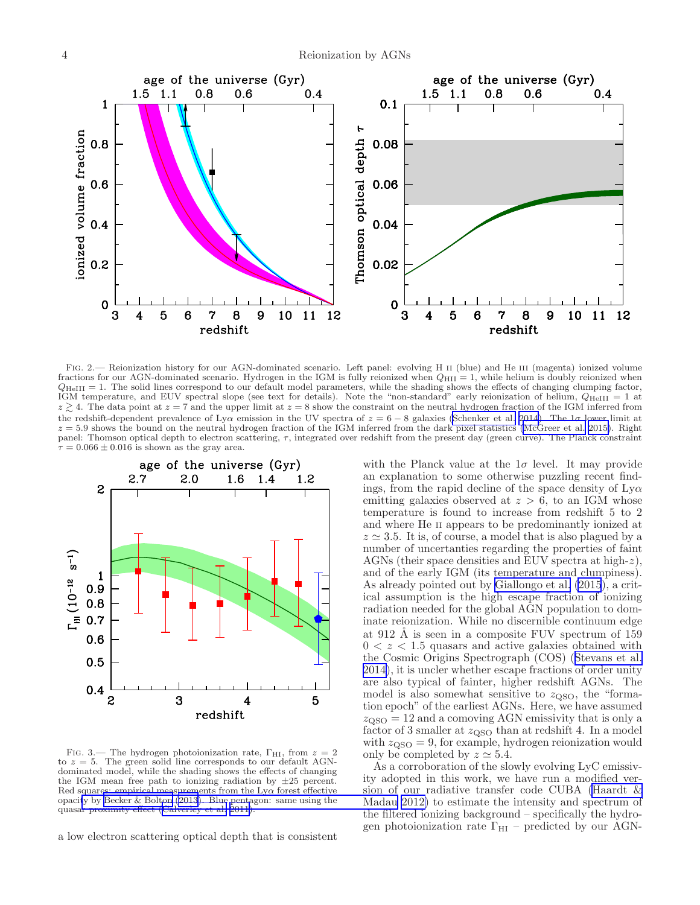<span id="page-3-0"></span>

Fig. 2.— Reionization history for our AGN-dominated scenario. Left panel: evolving H II (blue) and He III (magenta) ionized volume fractions for our AGN-dominated scenario. Hydrogen in the IGM is fully reionized when  $Q_{\text{HII}} = 1$ , while helium is doubly reionized when  $Q_{\text{HeIII}} = 1$ . The solid lines correspond to our default model parameters, while the shading shows the effects of changing clumping factor, IGM temperature, and EUV spectral slope (see text for details). Note the "non-standard" early reionization of helium,  $Q_{HeIII} = 1$  at  $z \gtrsim 4$ . The data point at  $z = 7$  and the upper limit at  $z = 8$  show the constraint on the neutral hydrogen fraction of the IGM inferred from the redshift-dependent prevalence of Ly $\alpha$  emission in the UV spectra of  $z = 6 - 8$  galaxies [\(Schenker et al. 2014](#page-5-0)). The  $1\sigma$  lower limit at  $z = 5.9$  shows the bound on the neutral hydrogen fraction of the IGM inferred from the dark pixel statistics [\(McGreer et al. 2015\)](#page-5-0). Right panel: Thomson optical depth to electron scattering,  $\tau$ , integrated over redshift from the present day (green curve). The Planck constraint  $\tau = 0.066 \pm 0.016$  is shown as the gray area.



FIG. 3.— The hydrogen photoionization rate,  $\Gamma_{\rm HI}$ , from  $z = 2$ to  $z = 5$ . The green solid line corresponds to our default AGNdominated model, while the shading shows the effects of changing the IGM mean free path to ionizing radiation by  $\pm 25$  percent. Red squares: empirical measurements from the  $Ly\alpha$  forest effective opaci[ty by Becker & Bolton \(2013\). Blue pentagon: same using](#page-5-0) the quasar proximity effect [\(Calverley et al. 2011\)](#page-5-0).

a low electron scattering optical depth that is consistent

with the Planck value at the  $1\sigma$  level. It may provide an explanation to some otherwise puzzling recent findings, from the rapid decline of the space density of  $Ly\alpha$ emitting galaxies observed at  $z > 6$ , to an IGM whose temperature is found to increase from redshift 5 to 2 and where He II appears to be predominantly ionized at  $z \approx 3.5$ . It is, of course, a model that is also plagued by a number of uncertanties regarding the properties of faint AGNs (their space densities and EUV spectra at high-z), and of the early IGM (its temperature and clumpiness). As already pointed out by [Giallongo et al. \(2015](#page-5-0)), a critical assumption is the high escape fraction of ionizing radiation needed for the global AGN population to dominate reionization. While no discernible continuum edge at 912 Å is seen in a composite FUV spectrum of 159  $0 < z < 1.5$  quasars and active galaxies obtained with the Cosmic Origins Spectrograph (COS)([Stevans et al.](#page-5-0) [2014\)](#page-5-0), it is uncler whether escape fractions of order unity are also typical of fainter, higher redshift AGNs. The model is also somewhat sensitive to  $z_{\rm QSO}$ , the "formation epoch" of the earliest AGNs. Here, we have assumed  $z<sub>OSO</sub> = 12$  and a comoving AGN emissivity that is only a factor of 3 smaller at  $z_{\text{QSO}}$  than at redshift 4. In a model with  $z_{\text{OSO}} = 9$ , for example, hydrogen reionization would only be completed by  $z \approx 5.4$ .

As a corroboration of the slowly evolving LyC emissivity adopted in this work, we have run a modified version of our radiative transfer code CUBA [\(Haardt &](#page-5-0) Madau [2012\)](#page-5-0) to estimate the intensity and spectrum of the filtered ionizing background – specifically the hydrogen photoionization rate  $\Gamma_{\text{HI}}$  – predicted by our AGN-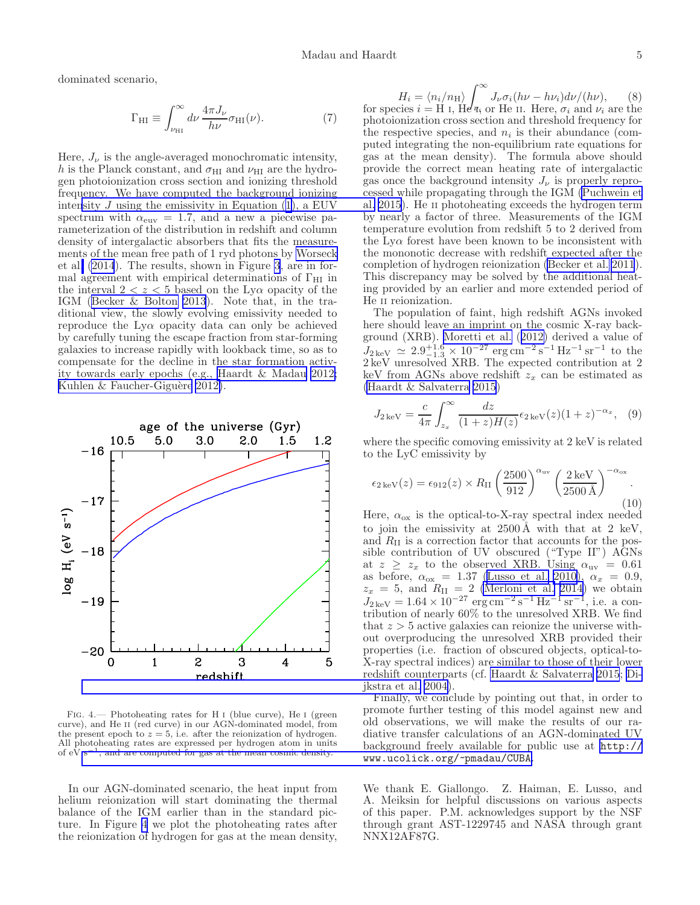dominated scenario,

$$
\Gamma_{\rm HI} \equiv \int_{\nu_{\rm HI}}^{\infty} d\nu \, \frac{4\pi J_{\nu}}{h\nu} \sigma_{\rm HI}(\nu). \tag{7}
$$

Here,  $J_{\nu}$  is the angle-averaged monochromatic intensity, h is the Planck constant, and  $\sigma_{\rm HI}$  and  $\nu_{\rm HI}$  are the hydrogen photoionization cross section and ionizing threshold frequency. We have computed the background ionizing intensity  $J$  [using the emissivity in Equation \(](#page-5-0)[1](#page-1-0)[\), a EUV](#page-5-0) spectrum with  $\alpha_{\rm euv} = 1.7$ , and a new a piecewise parameterization of the distribution in redshift and column density of intergalactic absorbers that fits the measurements of the mean free path of 1 ryd photons by [Worseck](#page-5-0) et al[. \(2014](#page-5-0)). The results, shown in Figure [3](#page-3-0), are in formal agreement with empirical determinations of  $\Gamma_{\text{HI}}$  in the interval  $2 < z < 5$  based on the Ly $\alpha$  opacity of the IGM([Becker & Bolton 2013](#page-5-0)). Note that, in the traditional view, the slowly evolving emissivity needed to reproduce the Lyα opacity data can only be achieved by carefully tuning the escape fraction from star-forming galaxies to increase rapidly with lookback time, so as to compensate for the decline in the star formation activity towards early epochs (e.g., [Haardt & Madau 2012;](#page-5-0) Kuhlen  $&$  Faucher-Giguère 2012).



FIG. 4.— Photoheating rates for H I (blue curve), He I (green curve), and He II (red curve) in our AGN-dominated model, from the present epoch to  $z = 5$ , i.e. after the reionization of hydrogen. All photoheating rates are expressed per hydrogen atom in units of eV s<sup>-1</sup>, and are computed for gas at the mean cosmic density.

In our AGN-dominated scenario, the heat input from helium reionization will start dominating the thermal balance of the IGM earlier than in the standard picture. In Figure 4 we plot the photoheating rates after the reionization of hydrogen for gas at the mean density,

$$
H_i = \langle n_i/n_H \rangle \int_{\nu}^{\infty} J_{\nu} \sigma_i(h\nu - h\nu_i) d\nu/(h\nu),
$$
 (8) for species  $i =$  H I, He  $q_i$  or He II. Here,  $\sigma_i$  and  $\nu_i$  are the photoionization cross section and threshold frequency for the respective species, and  $n_i$  is their abundance (computed integrating the non-equilibrium rate equations for gas at the mean density). The formula above should provide the correct mean heating rate of intergalactic gas once the background intensity  $J_{\nu}$  is properly reprocesed while propagating through the IGM (Puchwein et al. 2015). He II photohearing exceeds the hydrogen term by nearly a factor of three. Measurements of the IGM temperature evolution from redshift 5 to 2 derived from the Ly $\alpha$  forest have been known to be inconsistent with the monotic decrease with redshift expected after the completion of hydrogen reionization (Becker et al. 2011). This discrepancy may be solved by the additional heating provided by an earlier and more extended period of He II reionization.

The population of faint, high redshift AGNs invoked here should leave an imprint on the cosmic X-ray background (XRB). [Moretti et al.](#page-5-0) ([2012\)](#page-5-0) derived a value of  $J_{2 \text{ keV}} \simeq 2.9^{+1.6}_{-1.3} \times 10^{-27} \text{ erg cm}^{-2} \text{s}^{-1} \text{ Hz}^{-1} \text{ sr}^{-1}$  to the 2 keV unresolved XRB. The expected contribution at 2 keV from AGNs above redshift  $z_x$  can be estimated as [\(Haardt & Salvaterra 2015](#page-5-0))

$$
J_{2\,\text{keV}} = \frac{c}{4\pi} \int_{z_x}^{\infty} \frac{dz}{(1+z)H(z)} \epsilon_{2\,\text{keV}}(z)(1+z)^{-\alpha_x}, \quad (9)
$$

where the specific comoving emissivity at 2 keV is related to the LyC emissivity by

$$
\epsilon_{2\,\text{keV}}(z) = \epsilon_{912}(z) \times R_{\text{II}} \left(\frac{2500}{912}\right)^{\alpha_{\text{uv}}} \left(\frac{2\,\text{keV}}{2500\,\text{\AA}}\right)^{-\alpha_{\text{ox}}}.\tag{10}
$$

Here,  $\alpha_{\text{ox}}$  is the optical-to-X-ray spectral index needed to join the emissivity at  $2500 \text{\AA}$  with that at 2 keV, and  $R_{\rm II}$  is a correction factor that accounts for the possible contribution of UV obscured ("Type II") AGNs at  $z \geq z_x$  to the observed XRB. Using  $\alpha_{uv} = 0.61$ as before,  $\alpha_{ox} = 1.37$  [\(Lusso et al. 2010\)](#page-5-0),  $\alpha_x = 0.9$ ,  $z_x = 5$ , and  $R_{\text{II}} = 2$  [\(Merloni et al. 2014\)](#page-5-0) we obtain  $J_{2\,\text{keV}} = 1.64 \times 10^{-27} \text{ erg cm}^{-2} \text{ s}^{-1} \text{ Hz}^{-1} \text{ sr}^{-1}, \text{ i.e. a con-}$ tribution of nearly 60% to the unresolved XRB. We find that  $z > 5$  active galaxies can reionize the universe without overproducing the unresolved XRB provided their properties (i.e. fraction of obscured objects, optical-to-X-ray spectral indices) are similar to those of their lower redshift counterparts (cf. [Haardt & Salvaterra 2015](#page-5-0); [Di](#page-5-0)[jkstra et al. 2004\)](#page-5-0).

Finally, we conclude by pointing out that, in order to promote further testing of this model against new and old observations, we will make the results of our radiative transfer calculations of an AGN-dominated UV background freely available for public use at [http://](http://www.ucolick.org/~pmadau/CUBA) [www.ucolick.org/~pmadau/CUBA](http://www.ucolick.org/~pmadau/CUBA).

We thank E. Giallongo. Z. Haiman, E. Lusso, and A. Meiksin for helpful discussions on various aspects of this paper. P.M. acknowledges support by the NSF through grant AST-1229745 and NASA through grant NNX12AF87G.